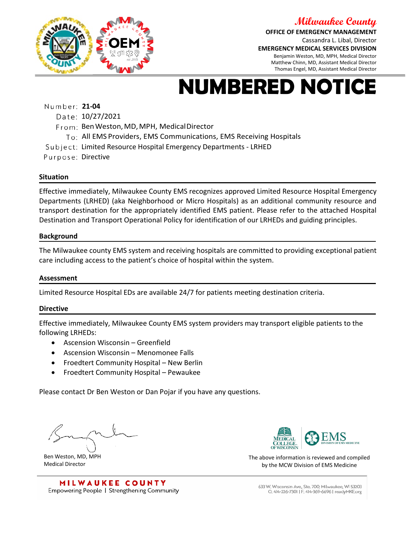

**OFFICE OF EMERGENCY MANAGEMENT**



Cassandra L. Libal, Director **EMERGENCY MEDICAL SERVICES DIVISION** Benjamin Weston, MD, MPH, Medical Director Matthew Chinn, MD, Assistant Medical Director Thomas Engel, MD, Assistant Medical Director

# **NUMBERED NOTICE**

**21-04**

Date: 10/27/2021

From: Ben Weston, MD, MPH, Medical Director

- To: All EMS Providers, EMS Communications, EMS Receiving Hospitals
- Subject: Limited Resource Hospital Emergency Departments LRHED

Purpose: Directive

## **Situation**

Effective immediately, Milwaukee County EMS recognizes approved Limited Resource Hospital Emergency Departments (LRHED) (aka Neighborhood or Micro Hospitals) as an additional community resource and transport destination for the appropriately identified EMS patient. Please refer to the attached Hospital Destination and Transport Operational Policy for identification of our LRHEDs and guiding principles.

## **Background**

The Milwaukee county EMS system and receiving hospitals are committed to providing exceptional patient care including access to the patient's choice of hospital within the system.

#### **Assessment**

Limited Resource Hospital EDs are available 24/7 for patients meeting destination criteria.

#### **Directive**

Effective immediately, Milwaukee County EMS system providers may transport eligible patients to the following LRHEDs:

- Ascension Wisconsin Greenfield
- Ascension Wisconsin Menomonee Falls
- Froedtert Community Hospital New Berlin
- Froedtert Community Hospital Pewaukee

Please contact Dr Ben Weston or Dan Pojar if you have any questions.

Ben Weston, MD, MPH Medical Director



The above information is reviewed and compiled by the MCW Division of EMS Medicine

**MILWAUKEE COUNTY** Empowering People | Strengthening Community

633 W. Wisconsin Ave., Ste. 700; Milwaukee, WI 53203 O: 414-226-7301 | F: 414-369-6696 | readyMKE.org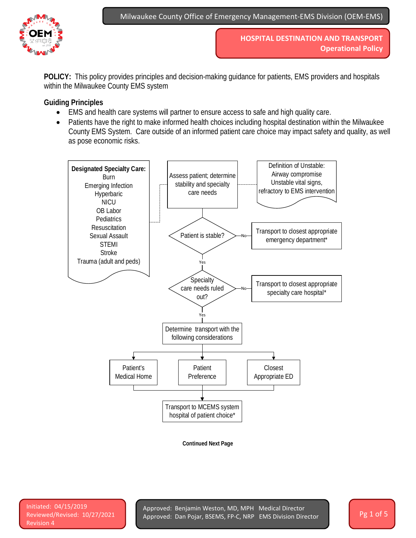

**POLICY:** This policy provides principles and decision-making guidance for patients, EMS providers and hospitals within the Milwaukee County EMS system

## **Guiding Principles**

- EMS and health care systems will partner to ensure access to safe and high quality care.
- Patients have the right to make informed health choices including hospital destination within the Milwaukee County EMS System. Care outside of an informed patient care choice may impact safety and quality, as well as pose economic risks.



**Continued Next Page**

Initiated: 04/15/2019 Reviewed/Revised: 10/27/2021 Revision 4

Approved: Benjamin Weston, MD, MPH Medical Director Approved: Dan Pojar, BSEMS, FP-C, NRP EMS Division Director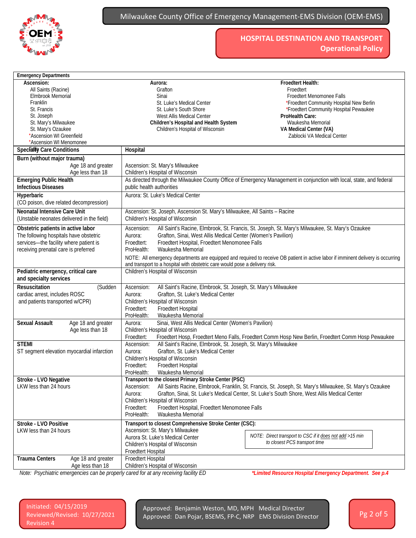

| <b>Emergency Departments</b>                |                                                                                                                                                    |                                                          |  |  |  |  |  |
|---------------------------------------------|----------------------------------------------------------------------------------------------------------------------------------------------------|----------------------------------------------------------|--|--|--|--|--|
| Ascension:                                  | Aurora:                                                                                                                                            | Froedtert Health:                                        |  |  |  |  |  |
| All Saints (Racine)                         | Grafton                                                                                                                                            | Froedtert                                                |  |  |  |  |  |
| Elmbrook Memorial                           | Sinai                                                                                                                                              | Froedtert Menomonee Falls                                |  |  |  |  |  |
| Franklin                                    | St. Luke's Medical Center                                                                                                                          | *Froedtert Community Hospital New Berlin                 |  |  |  |  |  |
| St. Francis                                 | St. Luke's South Shore                                                                                                                             | *Froedtert Community Hospital Pewaukee                   |  |  |  |  |  |
| St. Joseph                                  | West Allis Medical Center                                                                                                                          | ProHealth Care:                                          |  |  |  |  |  |
| St. Mary's Milwaukee                        | Children's Hospital and Health System                                                                                                              | Waukesha Memorial                                        |  |  |  |  |  |
| St. Mary's Ozaukee                          | Children's Hospital of Wisconsin                                                                                                                   | VA Medical Center (VA)                                   |  |  |  |  |  |
| *Ascension WI Greenfield                    |                                                                                                                                                    | Zablocki VA Medical Center                               |  |  |  |  |  |
| *Ascension WI Menomonee                     |                                                                                                                                                    |                                                          |  |  |  |  |  |
| Specially Care Conditions                   | Hospital                                                                                                                                           |                                                          |  |  |  |  |  |
| Burn (without major trauma)                 |                                                                                                                                                    |                                                          |  |  |  |  |  |
| Age 18 and greater                          | Ascension: St. Mary's Milwaukee                                                                                                                    |                                                          |  |  |  |  |  |
| Age less than 18                            | Children's Hospital of Wisconsin                                                                                                                   |                                                          |  |  |  |  |  |
| <b>Emerging Public Health</b>               |                                                                                                                                                    |                                                          |  |  |  |  |  |
| <b>Infectious Diseases</b>                  | As directed through the Milwaukee County Office of Emergency Management in conjunction with local, state, and federal<br>public health authorities |                                                          |  |  |  |  |  |
|                                             |                                                                                                                                                    |                                                          |  |  |  |  |  |
| Hyperbaric                                  | Aurora: St. Luke's Medical Center                                                                                                                  |                                                          |  |  |  |  |  |
| (CO poison, dive related decompression)     |                                                                                                                                                    |                                                          |  |  |  |  |  |
| Neonatal Intensive Care Unit                | Ascension: St. Joseph, Ascension St. Mary's Milwaukee, All Saints - Racine                                                                         |                                                          |  |  |  |  |  |
| (Unstable neonates delivered in the field)  | Children's Hospital of Wisconsin                                                                                                                   |                                                          |  |  |  |  |  |
|                                             |                                                                                                                                                    |                                                          |  |  |  |  |  |
| Obstetric patients in active labor          | All Saint's Racine, Elmbrook, St. Francis, St. Joseph, St. Mary's Milwaukee, St. Mary's Ozaukee<br>Ascension:                                      |                                                          |  |  |  |  |  |
| The following hospitals have obstetric      | Grafton, Sinai, West Allis Medical Center (Women's Pavilion)<br>Aurora:                                                                            |                                                          |  |  |  |  |  |
| services-the facility where patient is      | Froedtert Hospital, Froedtert Menomonee Falls<br>Froedtert:                                                                                        |                                                          |  |  |  |  |  |
| receiving prenatal care is preferred        | Waukesha Memorial<br>ProHealth:                                                                                                                    |                                                          |  |  |  |  |  |
|                                             | NOTE: All emergency departments are equipped and required to receive OB patient in active labor if imminent delivery is occurring                  |                                                          |  |  |  |  |  |
|                                             | and transport to a hospital with obstetric care would pose a delivery risk.                                                                        |                                                          |  |  |  |  |  |
| Pediatric emergency, critical care          | Children's Hospital of Wisconsin                                                                                                                   |                                                          |  |  |  |  |  |
| and specialty services                      |                                                                                                                                                    |                                                          |  |  |  |  |  |
| Resuscitation<br>(Sudden                    | Ascension:<br>All Saint's Racine, Elmbrook, St. Joseph, St. Mary's Milwaukee                                                                       |                                                          |  |  |  |  |  |
| cardiac arrest, includes ROSC               | Grafton, St. Luke's Medical Center                                                                                                                 |                                                          |  |  |  |  |  |
|                                             | Aurora:                                                                                                                                            |                                                          |  |  |  |  |  |
| and patients transported w/CPR)             | Children's Hospital of Wisconsin                                                                                                                   |                                                          |  |  |  |  |  |
|                                             | Froedtert:<br>Froedtert Hospital                                                                                                                   |                                                          |  |  |  |  |  |
|                                             | ProHealth:<br>Waukesha Memorial                                                                                                                    |                                                          |  |  |  |  |  |
| <b>Sexual Assault</b><br>Age 18 and greater | Sinai, West Allis Medical Center (Women's Pavilion)<br>Aurora:                                                                                     |                                                          |  |  |  |  |  |
| Age less than 18                            | Children's Hospital of Wisconsin                                                                                                                   |                                                          |  |  |  |  |  |
|                                             | Froedtert Hosp, Froedtert Meno Falls, Froedtert Comm Hosp New Berlin, Froedtert Comm Hosp Pewaukee<br>Froedtert:                                   |                                                          |  |  |  |  |  |
| <b>STEMI</b>                                | All Saint's Racine, Elmbrook, St. Joseph, St. Mary's Milwaukee<br>Ascension:                                                                       |                                                          |  |  |  |  |  |
| ST segment elevation myocardial infarction  | Grafton, St. Luke's Medical Center<br>Aurora:                                                                                                      |                                                          |  |  |  |  |  |
|                                             | Children's Hospital of Wisconsin                                                                                                                   |                                                          |  |  |  |  |  |
|                                             | <b>Froedtert Hospital</b><br>Froedtert:                                                                                                            |                                                          |  |  |  |  |  |
|                                             | Waukesha Memorial<br>ProHealth:                                                                                                                    |                                                          |  |  |  |  |  |
| Stroke - LVO Negative                       | Transport to the closest Primary Stroke Center (PSC)                                                                                               |                                                          |  |  |  |  |  |
|                                             |                                                                                                                                                    |                                                          |  |  |  |  |  |
| LKW less than 24 hours                      | All Saints Racine, Elmbrook, Franklin, St. Francis, St. Joseph, St. Mary's Milwaukee, St. Mary's Ozaukee<br>Ascension:                             |                                                          |  |  |  |  |  |
|                                             | Aurora:<br>Grafton, Sinai, St. Luke's Medical Center, St. Luke's South Shore, West Allis Medical Center                                            |                                                          |  |  |  |  |  |
|                                             | Children's Hospital of Wisconsin                                                                                                                   |                                                          |  |  |  |  |  |
|                                             | Froedtert Hospital, Froedtert Menomonee Falls<br>Froedtert:                                                                                        |                                                          |  |  |  |  |  |
|                                             | ProHealth:<br>Waukesha Memorial                                                                                                                    |                                                          |  |  |  |  |  |
| Stroke - LVO Positive                       | Transport to closest Comprehensive Stroke Center (CSC):                                                                                            |                                                          |  |  |  |  |  |
| LKW less than 24 hours                      | Ascension: St. Mary's Milwaukee                                                                                                                    |                                                          |  |  |  |  |  |
|                                             | Aurora St. Luke's Medical Center                                                                                                                   | NOTE: Direct transport to CSC if it does not add >15 min |  |  |  |  |  |
|                                             | Children's Hospital of Wisconsin                                                                                                                   | to closest PCS transport time                            |  |  |  |  |  |
|                                             | Froedtert Hospital                                                                                                                                 |                                                          |  |  |  |  |  |
|                                             |                                                                                                                                                    |                                                          |  |  |  |  |  |
| <b>Trauma Centers</b><br>Age 18 and greater | Froedtert Hospital                                                                                                                                 |                                                          |  |  |  |  |  |
| Age less than 18                            | Children's Hospital of Wisconsin                                                                                                                   |                                                          |  |  |  |  |  |

*Note: Psychiatric emergencies can be properly cared for at any receiving facility ED \*Limited Resource Hospital Emergency Department. See p.4*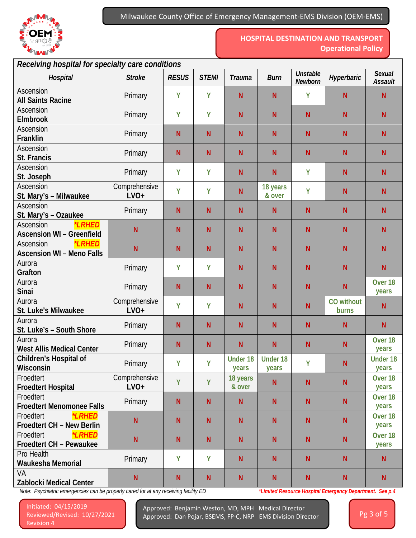

| Receiving hospital for specialty care conditions                      |                         |              |              |                          |                          |                            |                     |                                 |  |  |  |
|-----------------------------------------------------------------------|-------------------------|--------------|--------------|--------------------------|--------------------------|----------------------------|---------------------|---------------------------------|--|--|--|
| Hospital                                                              | <b>Stroke</b>           | <b>RESUS</b> | <b>STEMI</b> | <b>Trauma</b>            | <b>Burn</b>              | <b>Unstable</b><br>Newborn | Hyperbaric          | <b>Sexual</b><br><b>Assault</b> |  |  |  |
| Ascension<br><b>All Saints Racine</b>                                 | Primary                 | Y            | Y            | N                        | ${\sf N}$                | Υ                          | N                   | $\mathsf{N}$                    |  |  |  |
| Ascension<br>Elmbrook                                                 | Primary                 | Y            | Y            | N <sub>1</sub>           | N                        | N                          | N <sub>1</sub>      | $\mathsf{N}$                    |  |  |  |
| Ascension<br>Franklin                                                 | Primary                 | ${\sf N}$    | $\mathsf{N}$ | $\mathsf{N}$             | N                        | N                          | $\mathsf{N}$        | $\mathsf{N}$                    |  |  |  |
| Ascension<br><b>St. Francis</b>                                       | Primary                 | N            | N            | N                        | N                        | N                          | N                   | $\mathsf{N}$                    |  |  |  |
| Ascension<br>St. Joseph                                               | Primary                 | Y            | Y            | N                        | N                        | Y                          | N                   | $\mathsf{N}$                    |  |  |  |
| Ascension<br>St. Mary's - Milwaukee                                   | Comprehensive<br>$LVO+$ | Y            | Y            | N                        | 18 years<br>& over       | Y                          | $\mathsf{N}$        | $\mathsf{N}$                    |  |  |  |
| Ascension<br>St. Mary's - Ozaukee                                     | Primary                 | N            | N            | N <sub>1</sub>           | N                        | N <sub>1</sub>             | N <sub>1</sub>      | $\mathsf{N}$                    |  |  |  |
| Ascension<br>*LRHED<br><b>Ascension WI - Greenfield</b>               | N                       | N.           | $\mathsf{N}$ | N                        | ${\sf N}$                | N                          | N                   | N                               |  |  |  |
| Ascension<br><i><b>*LRHED</b></i><br><b>Ascension WI - Meno Falls</b> | N                       | N            | N            | $\mathsf{N}$             | ${\sf N}$                | $\mathsf{N}$               | N                   | $\mathsf{N}$                    |  |  |  |
| Aurora<br>Grafton                                                     | Primary                 | Ÿ            | Y            | N                        | N                        | N <sub>1</sub>             | N                   | $\mathsf{N}$                    |  |  |  |
| Aurora<br>Sinai                                                       | Primary                 | N            | $\mathsf{N}$ | N                        | ${\sf N}$                | N                          | N                   | Over <sub>18</sub><br>years     |  |  |  |
| Aurora<br>St. Luke's Milwaukee                                        | Comprehensive<br>$LVO+$ | Y            | Y            | $\mathsf{N}$             | ${\sf N}$                | N                          | CO without<br>burns | $\mathsf{N}$                    |  |  |  |
| Aurora<br>St. Luke's - South Shore                                    | Primary                 | N            | N            | N                        | N                        | N <sub>1</sub>             | N                   | $\mathsf{N}$                    |  |  |  |
| Aurora<br><b>West Allis Medical Center</b>                            | Primary                 | N            | N            | ${\sf N}$                | ${\sf N}$                | N                          | $\mathsf{N}$        | Over <sub>18</sub><br>years     |  |  |  |
| Children's Hospital of<br>Wisconsin                                   | Primary                 | Y            | Y            | <b>Under 18</b><br>years | <b>Under 18</b><br>years | Υ                          | ${\sf N}$           | <b>Under 18</b><br>years        |  |  |  |
| Froedtert<br><b>Froedtert Hospital</b>                                | Comprehensive<br>$LVO+$ | Y            | Y            | 18 years<br>& over       | ${\sf N}$                | N                          | N                   | Over <sub>18</sub><br>years     |  |  |  |
| Froedtert<br><b>Froedtert Menomonee Falls</b>                         | Primary                 | N            | N            | N.                       | ${\sf N}$                | N                          | $\mathsf{N}$        | Over <sub>18</sub><br>years     |  |  |  |
| *LRHED<br>Froedtert<br>Froedtert CH - New Berlin                      | N                       | N.           | N.           | N.                       | ${\sf N}$                | N                          | $\mathsf{N}$        | Over <sub>18</sub><br>years     |  |  |  |
| *LRHED<br>Froedtert<br>Froedtert CH - Pewaukee                        | N                       | N.           | $\mathsf{N}$ | N.                       | ${\sf N}$                | N                          | $\mathsf{N}$        | Over <sub>18</sub><br>years     |  |  |  |
| Pro Health<br>Waukesha Memorial                                       | Primary                 | Y            | Y            | N.                       | N                        | N                          | $\mathsf{N}$        | N                               |  |  |  |
| VA<br>Zablocki Medical Center                                         | N                       | N.           | $\mathsf{N}$ | N.                       | N                        | N                          | $\mathsf{N}$        | $\mathsf{N}$                    |  |  |  |

*Note: Psychiatric emergencies can be properly cared for at any receiving facility ED \*Limited Resource Hospital Emergency Department. See p.4*

Initiated: 04/15/2019 Reviewed/Revised: 10/27/2021 Revision 4

Approved: Benjamin Weston, MD, MPH Medical Director Approved: Dan Pojar, BSEMS, FP-C, NRP EMS Division Director

Pg 3 of 5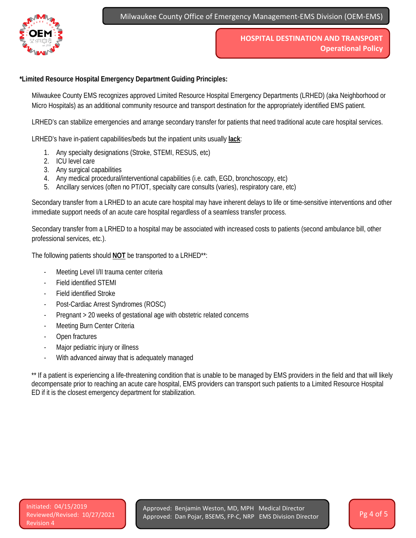Milwaukee County Office of Emergency Management-EMS Division (OEM-EMS)



**HOSPITAL DESTINATION AND TRANSPORT Operational Policy**

**\*Limited Resource Hospital Emergency Department Guiding Principles:**

Milwaukee County EMS recognizes approved Limited Resource Hospital Emergency Departments (LRHED) (aka Neighborhood or Micro Hospitals) as an additional community resource and transport destination for the appropriately identified EMS patient.

LRHED's can stabilize emergencies and arrange secondary transfer for patients that need traditional acute care hospital services.

LRHED's have in-patient capabilities/beds but the inpatient units usually **lack**:

- 1. Any specialty designations (Stroke, STEMI, RESUS, etc)
- 2. ICU level care
- 3. Any surgical capabilities
- 4. Any medical procedural/interventional capabilities (i.e. cath, EGD, bronchoscopy, etc)
- 5. Ancillary services (often no PT/OT, specialty care consults (varies), respiratory care, etc)

Secondary transfer from a LRHED to an acute care hospital may have inherent delays to life or time-sensitive interventions and other immediate support needs of an acute care hospital regardless of a seamless transfer process.

Secondary transfer from a LRHED to a hospital may be associated with increased costs to patients (second ambulance bill, other professional services, etc.).

The following patients should **NOT** be transported to a LRHED\*\*:

- Meeting Level I/II trauma center criteria
- Field identified STEMI
- Field identified Stroke
- Post-Cardiac Arrest Syndromes (ROSC)
- Pregnant > 20 weeks of gestational age with obstetric related concerns
- Meeting Burn Center Criteria
- Open fractures
- Major pediatric injury or illness
- With advanced airway that is adequately managed

\*\* If a patient is experiencing a life-threatening condition that is unable to be managed by EMS providers in the field and that will likely decompensate prior to reaching an acute care hospital, EMS providers can transport such patients to a Limited Resource Hospital ED if it is the closest emergency department for stabilization.